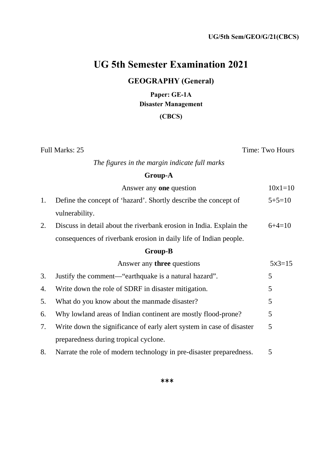# **UG 5th Semester Examination 2021**

## **GEOGRAPHY (General)**

**Paper: GE-1A Disaster Management**

### **(CBCS)**

Full Marks: 25 Time: Two Hours

*The figures in the margin indicate full marks* 

### **Group-A**

|    | Answer any <b>one</b> question                                        | $10x1 = 10$ |
|----|-----------------------------------------------------------------------|-------------|
| 1. | Define the concept of 'hazard'. Shortly describe the concept of       | $5+5=10$    |
|    | vulnerability.                                                        |             |
| 2. | Discuss in detail about the riverbank erosion in India. Explain the   | $6+4=10$    |
|    | consequences of riverbank erosion in daily life of Indian people.     |             |
|    | <b>Group-B</b>                                                        |             |
|    | Answer any <b>three</b> questions                                     | $5x3=15$    |
| 3. | Justify the comment—"earthquake is a natural hazard".                 | 5           |
| 4. | Write down the role of SDRF in disaster mitigation.                   | 5           |
| 5. | What do you know about the manmade disaster?                          | 5           |
| 6. | Why lowland areas of Indian continent are mostly flood-prone?         | 5           |
| 7. | Write down the significance of early alert system in case of disaster | 5           |
|    | preparedness during tropical cyclone.                                 |             |
| 8. | Narrate the role of modern technology in pre-disaster preparedness.   | 5           |

**\*\*\***